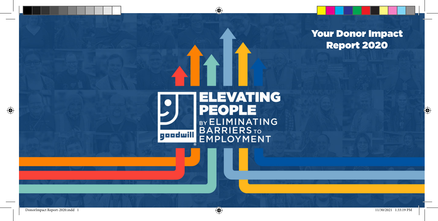



 $\bigoplus$ 

⊕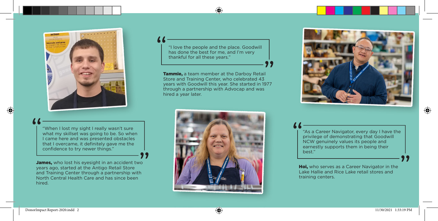

"When I lost my sight I really wasn't sure what my skillset was going to be. So when I came here and was presented obstacles that I overcame, it definitely gave me the confidence to try newer things."

James, who lost his eyesight in an accident two years ago, started at the Antigo Retail Store and Training Center through a partnership with North Central Health Care and has since been hired.

"I love the people and the place. Goodwill has done the best for me, and I'm very thankful for all these years."

⊕

Tammie, a team member at the Darboy Retail Store and Training Center, who celebrated 43 years with Goodwill this year. She started in 1977 through a partnership with Advocap and was hired a year later.





"As a Career Navigator, every day I have the privilege of demonstrating that Goodwill NCW genuinely values its people and earnestly supports them in being their best."

**Hoi,** who serves as a Career Navigator in the Lake Hallie and Rice Lake retail stores and training centers.

⊕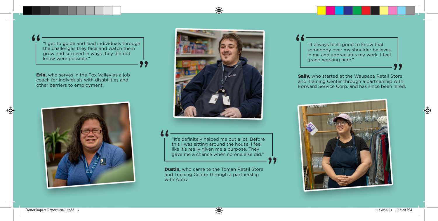"I get to guide and lead individuals through the challenges they face and watch them grow and succeed in ways they did not know were possible."

**Erin,** who serves in the Fox Valley as a job coach for individuals with disabilities and other barriers to employment.





⊕

"It's definitely helped me out a lot. Before this I was sitting around the house. I feel like it's really given me a purpose. They gave me a chance when no one else did."

**Dustin,** who came to the Tomah Retail Store and Training Center through a partnership with Aptiv.

"It always feels good to know that somebody over my shoulder believes in me and appreciates my work. I feel grand working here."

**Sally,** who started at the Waupaca Retail Store and Training Center through a partnership with Forward Service Corp. and has since been hired.



⊕